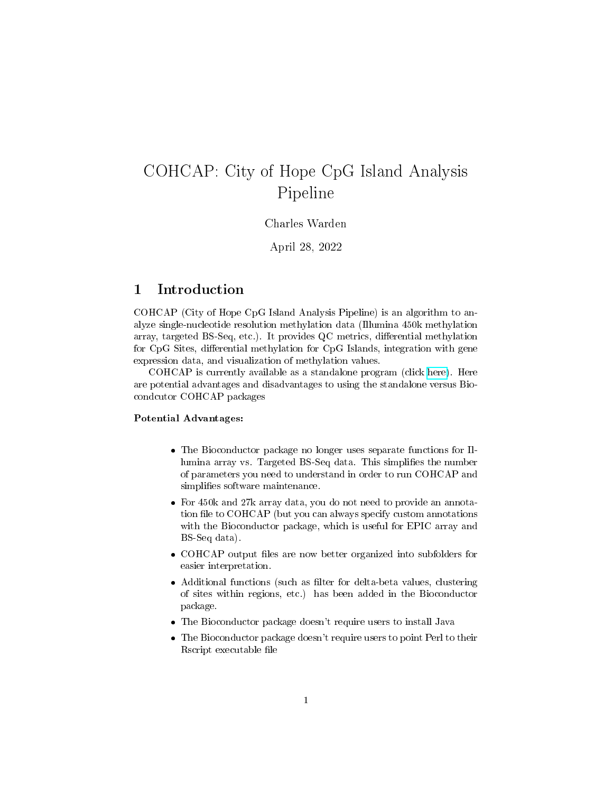# COHCAP: City of Hope CpG Island Analysis Pipeline

Charles Warden

April 28, 2022

#### 1 Introduction

COHCAP (City of Hope CpG Island Analysis Pipeline) is an algorithm to analyze single-nucleotide resolution methylation data (Illumina 450k methylation array, targeted BS-Seq, etc.). It provides  $QC$  metrics, differential methylation for CpG Sites, differential methylation for CpG Islands, integration with gene expression data, and visualization of methylation values.

COHCAP is currently available as a standalone program (click [here\)](http://sourceforge.net/projects/cohcap/). Here are potential advantages and disadvantages to using the standalone versus Biocondcutor COHCAP packages

#### Potential Advantages:

- The Bioconductor package no longer uses separate functions for Illumina array vs. Targeted BS-Seq data. This simplifies the number of parameters you need to understand in order to run COHCAP and simplifies software maintenance.
- For 450k and 27k array data, you do not need to provide an annotation file to COHCAP (but you can always specify custom annotations with the Bioconductor package, which is useful for EPIC array and BS-Seq data).
- COHCAP output files are now better organized into subfolders for easier interpretation.
- Additional functions (such as filter for delta-beta values, clustering of sites within regions, etc.) has been added in the Bioconductor package.
- The Bioconductor package doesn't require users to install Java
- The Bioconductor package doesn't require users to point Perl to their Rscript executable file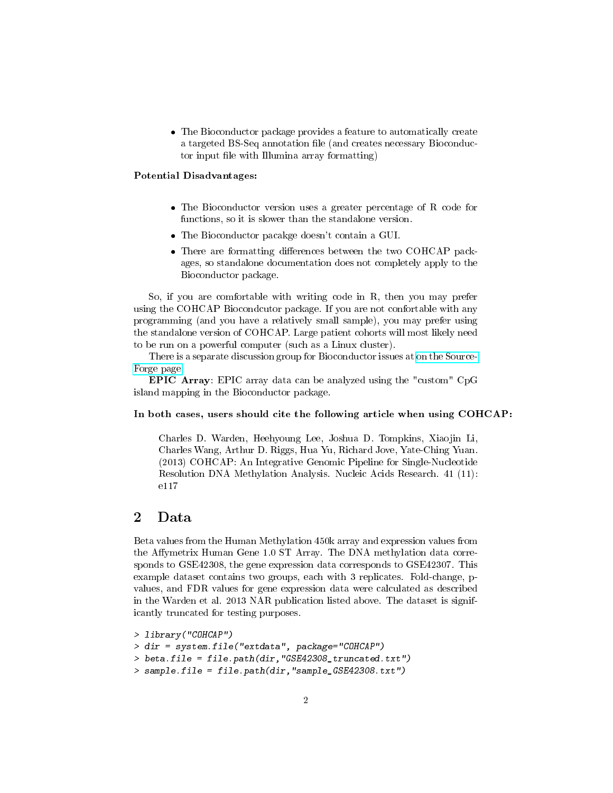The Bioconductor package provides a feature to automatically create a targeted BS-Seq annotation file (and creates necessary Bioconductor input file with Illumina array formatting)

#### Potential Disadvantages:

- The Bioconductor version uses a greater percentage of R code for functions, so it is slower than the standalone version.
- The Bioconductor pacakge doesn't contain a GUI.
- There are formatting differences between the two COHCAP packages, so standalone documentation does not completely apply to the Bioconductor package.

So, if you are comfortable with writing code in R, then you may prefer using the COHCAP Biocondcutor package. If you are not confortable with any programming (and you have a relatively small sample), you may prefer using the standalone version of COHCAP. Large patient cohorts will most likely need to be run on a powerful computer (such as a Linux cluster).

There is a separate discussion group for Bioconductor issues at [on the Source-](https://sourceforge.net/p/cohcap/discussion/bioconductor/)[Forge page.](https://sourceforge.net/p/cohcap/discussion/bioconductor/)

EPIC Array: EPIC array data can be analyzed using the "custom" CpG island mapping in the Bioconductor package.

#### In both cases, users should cite the following article when using COHCAP:

Charles D. Warden, Heehyoung Lee, Joshua D. Tompkins, Xiaojin Li, Charles Wang, Arthur D. Riggs, Hua Yu, Richard Jove, Yate-Ching Yuan. (2013) COHCAP: An Integrative Genomic Pipeline for Single-Nucleotide Resolution DNA Methylation Analysis. Nucleic Acids Research. 41 (11): e117

## 2 Data

Beta values from the Human Methylation 450k array and expression values from the Affymetrix Human Gene 1.0 ST Array. The DNA methylation data corresponds to GSE42308, the gene expression data corresponds to GSE42307. This example dataset contains two groups, each with 3 replicates. Fold-change, pvalues, and FDR values for gene expression data were calculated as described in the Warden et al. 2013 NAR publication listed above. The dataset is significantly truncated for testing purposes.

```
> library("COHCAP")
```

```
> dir = system.file("extdata", package="COHCAP")
```

```
> beta.file = file.path(dir,"GSE42308_truncated.txt")
```

```
> sample.file = file.path(dir,"sample_GSE42308.txt")
```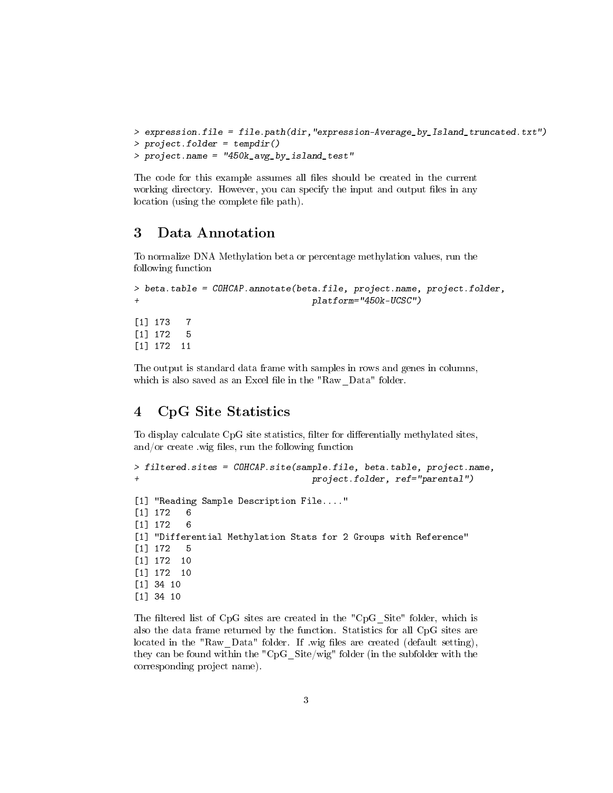```
> expression.file = file.path(dir,"expression-Average_by_Island_truncated.txt")
> project.folder = tempdir()
> project.name = "450k_avg_by_island_test"
```
The code for this example assumes all files should be created in the current working directory. However, you can specify the input and output files in any location (using the complete file path).

## 3 Data Annotation

To normalize DNA Methylation beta or percentage methylation values, run the following function

```
> beta.table = COHCAP.annotate(beta.file, project.name, project.folder,
+ platform="450k-UCSC")
[1] 173 7
[1] 172 5
[1] 172 11
```
The output is standard data frame with samples in rows and genes in columns, which is also saved as an Excel file in the "Raw\_Data" folder.

# 4 CpG Site Statistics

To display calculate CpG site statistics, filter for differentially methylated sites, and/or create .wig files, run the following function

```
> filtered.sites = COHCAP.site(sample.file, beta.table, project.name,
                                  project.folder, ref="parental")
[1] "Reading Sample Description File...."
[1] 172 6
[1] 172 6
[1] "Differential Methylation Stats for 2 Groups with Reference"
[1] 172 5
[1] 172 10
[1] 172 10
[1] 34 10
[1] 34 10
```
The filtered list of CpG sites are created in the "CpG Site" folder, which is also the data frame returned by the function. Statistics for all CpG sites are located in the "Raw Data" folder. If .wig files are created (default setting), they can be found within the "CpG\_Site/wig" folder (in the subfolder with the corresponding project name).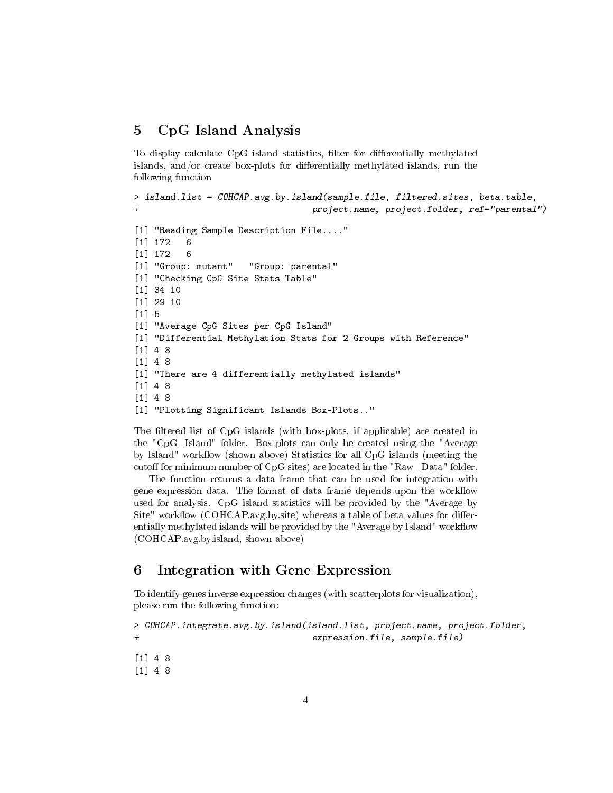## 5 CpG Island Analysis

To display calculate CpG island statistics, filter for differentially methylated islands, and/or create box-plots for differentially methylated islands, run the following function

```
> island.list = COHCAP.avg.by.island(sample.file, filtered.sites, beta.table,
                                  project.name, project.folder, ref="parental")
[1] "Reading Sample Description File...."
[1] 172 6
[1] 172 6
[1] "Group: mutant" "Group: parental"
[1] "Checking CpG Site Stats Table"
[1] 34 10
[1] 29 10
[1] 5
[1] "Average CpG Sites per CpG Island"
[1] "Differential Methylation Stats for 2 Groups with Reference"
[1] 4 8
[1] 4 8
[1] "There are 4 differentially methylated islands"
[1] 4 8
[1] 4 8
[1] "Plotting Significant Islands Box-Plots.."
```
The filtered list of CpG islands (with box-plots, if applicable) are created in the "CpG\_Island" folder. Box-plots can only be created using the "Average by Island" workflow (shown above) Statistics for all CpG islands (meeting the cutoff for minimum number of CpG sites) are located in the "Raw\_Data" folder.

The function returns a data frame that can be used for integration with gene expression data. The format of data frame depends upon the workflow used for analysis. CpG island statistics will be provided by the "Average by  $\text{Site}^{\prime\prime}$  workflow (COHCAP.avg.by.site) whereas a table of beta values for differentially methylated islands will be provided by the "Average by Island" workflow (COHCAP.avg.by.island, shown above)

## 6 Integration with Gene Expression

To identify genes inverse expression changes (with scatterplots for visualization), please run the following function:

```
> COHCAP.integrate.avg.by.island(island.list, project.name, project.folder,
+ expression.file, sample.file)
```
[1] 4 8 [1] 4 8